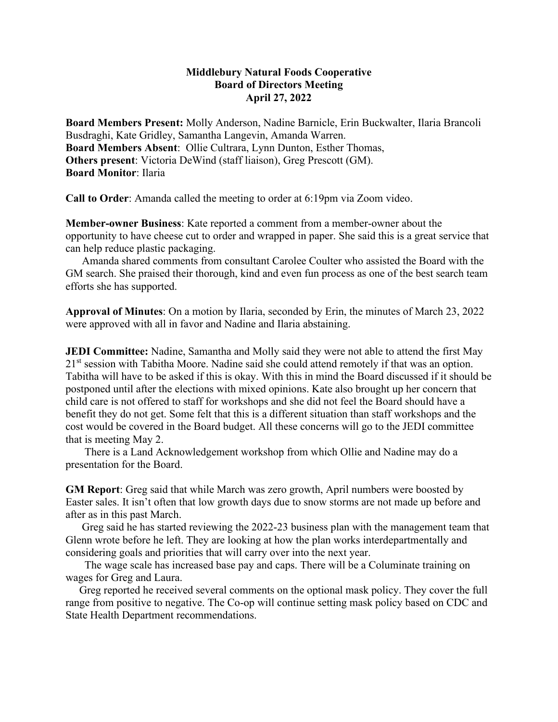## **Middlebury Natural Foods Cooperative Board of Directors Meeting April 27, 2022**

**Board Members Present:** Molly Anderson, Nadine Barnicle, Erin Buckwalter, Ilaria Brancoli Busdraghi, Kate Gridley, Samantha Langevin, Amanda Warren. **Board Members Absent**: Ollie Cultrara, Lynn Dunton, Esther Thomas, **Others present**: Victoria DeWind (staff liaison), Greg Prescott (GM). **Board Monitor**: Ilaria

**Call to Order**: Amanda called the meeting to order at 6:19pm via Zoom video.

**Member-owner Business**: Kate reported a comment from a member-owner about the opportunity to have cheese cut to order and wrapped in paper. She said this is a great service that can help reduce plastic packaging.

 Amanda shared comments from consultant Carolee Coulter who assisted the Board with the GM search. She praised their thorough, kind and even fun process as one of the best search team efforts she has supported.

**Approval of Minutes**: On a motion by Ilaria, seconded by Erin, the minutes of March 23, 2022 were approved with all in favor and Nadine and Ilaria abstaining.

**JEDI Committee:** Nadine, Samantha and Molly said they were not able to attend the first May 21<sup>st</sup> session with Tabitha Moore. Nadine said she could attend remotely if that was an option. Tabitha will have to be asked if this is okay. With this in mind the Board discussed if it should be postponed until after the elections with mixed opinions. Kate also brought up her concern that child care is not offered to staff for workshops and she did not feel the Board should have a benefit they do not get. Some felt that this is a different situation than staff workshops and the cost would be covered in the Board budget. All these concerns will go to the JEDI committee that is meeting May 2.

 There is a Land Acknowledgement workshop from which Ollie and Nadine may do a presentation for the Board.

**GM Report**: Greg said that while March was zero growth, April numbers were boosted by Easter sales. It isn't often that low growth days due to snow storms are not made up before and after as in this past March.

 Greg said he has started reviewing the 2022-23 business plan with the management team that Glenn wrote before he left. They are looking at how the plan works interdepartmentally and considering goals and priorities that will carry over into the next year.

 The wage scale has increased base pay and caps. There will be a Columinate training on wages for Greg and Laura.

 Greg reported he received several comments on the optional mask policy. They cover the full range from positive to negative. The Co-op will continue setting mask policy based on CDC and State Health Department recommendations.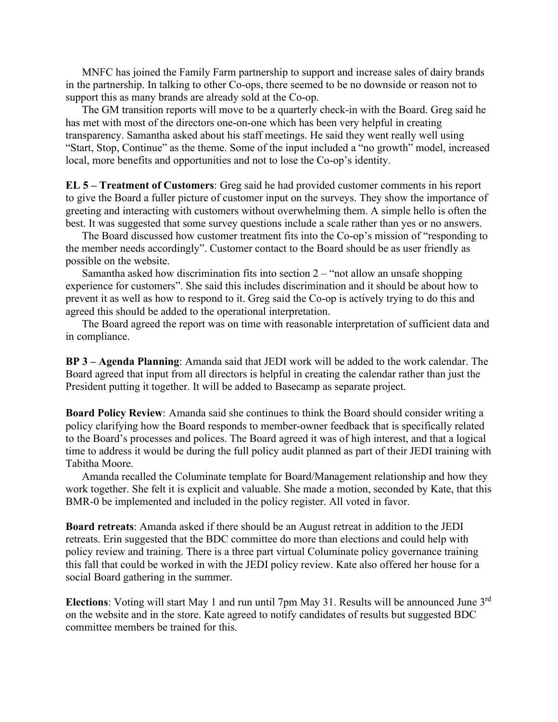MNFC has joined the Family Farm partnership to support and increase sales of dairy brands in the partnership. In talking to other Co-ops, there seemed to be no downside or reason not to support this as many brands are already sold at the Co-op.

 The GM transition reports will move to be a quarterly check-in with the Board. Greg said he has met with most of the directors one-on-one which has been very helpful in creating transparency. Samantha asked about his staff meetings. He said they went really well using "Start, Stop, Continue" as the theme. Some of the input included a "no growth" model, increased local, more benefits and opportunities and not to lose the Co-op's identity.

**EL 5 – Treatment of Customers**: Greg said he had provided customer comments in his report to give the Board a fuller picture of customer input on the surveys. They show the importance of greeting and interacting with customers without overwhelming them. A simple hello is often the best. It was suggested that some survey questions include a scale rather than yes or no answers.

 The Board discussed how customer treatment fits into the Co-op's mission of "responding to the member needs accordingly". Customer contact to the Board should be as user friendly as possible on the website.

Samantha asked how discrimination fits into section  $2 - \text{``not allow an unsafe shopping}$ experience for customers". She said this includes discrimination and it should be about how to prevent it as well as how to respond to it. Greg said the Co-op is actively trying to do this and agreed this should be added to the operational interpretation.

 The Board agreed the report was on time with reasonable interpretation of sufficient data and in compliance.

**BP 3 – Agenda Planning**: Amanda said that JEDI work will be added to the work calendar. The Board agreed that input from all directors is helpful in creating the calendar rather than just the President putting it together. It will be added to Basecamp as separate project.

**Board Policy Review**: Amanda said she continues to think the Board should consider writing a policy clarifying how the Board responds to member-owner feedback that is specifically related to the Board's processes and polices. The Board agreed it was of high interest, and that a logical time to address it would be during the full policy audit planned as part of their JEDI training with Tabitha Moore.

 Amanda recalled the Columinate template for Board/Management relationship and how they work together. She felt it is explicit and valuable. She made a motion, seconded by Kate, that this BMR-0 be implemented and included in the policy register. All voted in favor.

**Board retreats**: Amanda asked if there should be an August retreat in addition to the JEDI retreats. Erin suggested that the BDC committee do more than elections and could help with policy review and training. There is a three part virtual Columinate policy governance training this fall that could be worked in with the JEDI policy review. Kate also offered her house for a social Board gathering in the summer.

**Elections**: Voting will start May 1 and run until 7pm May 31. Results will be announced June 3rd on the website and in the store. Kate agreed to notify candidates of results but suggested BDC committee members be trained for this.